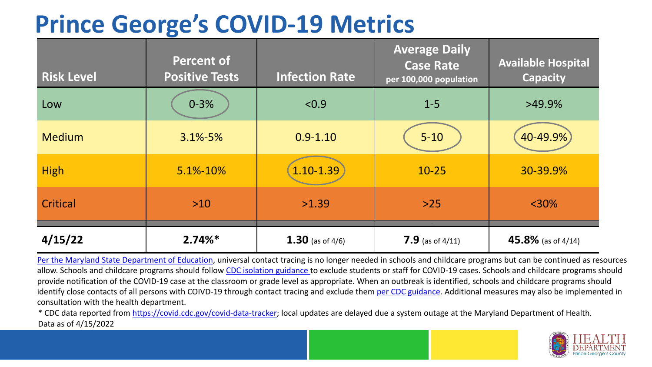### **Prince George's COVID-19 Metrics**

| <b>Risk Level</b> | <b>Percent of</b><br><b>Positive Tests</b> | <b>Infection Rate</b> | <b>Average Daily</b><br><b>Case Rate</b><br>per 100,000 population | <b>Available Hospital</b><br><b>Capacity</b> |
|-------------------|--------------------------------------------|-----------------------|--------------------------------------------------------------------|----------------------------------------------|
| Low               | $0 - 3%$                                   | < 0.9                 | $1 - 5$                                                            | $>49.9\%$                                    |
| <b>Medium</b>     | $3.1\% - 5\%$                              | $0.9 - 1.10$          | $5 - 10$                                                           | 40-49.9%                                     |
| <b>High</b>       | 5.1%-10%                                   | 1.10-1.39             | $10 - 25$                                                          | 30-39.9%                                     |
| Critical          | $>10$                                      | >1.39                 | $>25$                                                              | $<$ 30%                                      |
| 4/15/22           | $2.74%$ *                                  | 1.30 (as of $4/6$ )   | 7.9 (as of $4/11$ )                                                | 45.8% (as of $4/14$ )                        |

[Per the Maryland State Department of Education,](https://earlychildhood.marylandpublicschools.org/system/files/filedepot/3/covid_guidance_full_080420.pdf) universal contact tracing is no longer needed in schools and childcare programs but can be continued as resources allow. Schools and childcare programs should follow [CDC isolation guidance t](https://www.cdc.gov/coronavirus/2019-ncov/community/schools-childcare/k-12-contact-tracing/about-isolation.html)o exclude students or staff for COVID-19 cases. Schools and childcare programs should provide notification of the COVID-19 case at the classroom or grade level as appropriate. When an outbreak is identified, schools and childcare programs should identify close contacts of all persons with COIVD-19 through contact tracing and exclude them [per CDC guidance](https://www.cdc.gov/coronavirus/2019-ncov/your-health/quarantine-isolation.html). Additional measures may also be implemented in consultation with the health department.

\* CDC data reported from [https://covid.cdc.gov/covid-data-tracker;](https://covid.cdc.gov/covid-data-tracker) local updates are delayed due a system outage at the Maryland Department of Health. Data as of 4/15/2022

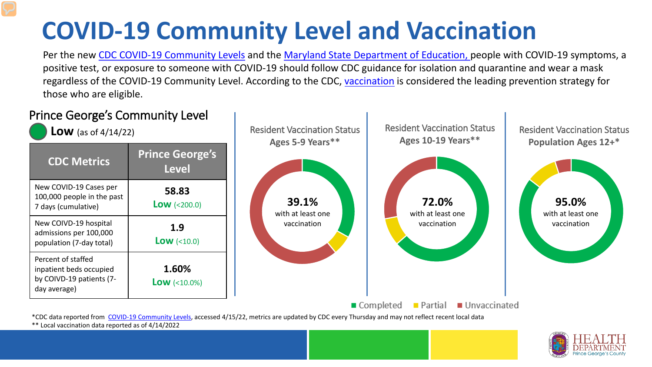# **COVID-19 Community Level and Vaccination**

Per the new [CDC COVID-19 Community Levels](https://www.cdc.gov/coronavirus/2019-ncov/science/community-levels.html#anchor_82254) and the [Maryland State Department of Education, p](https://earlychildhood.marylandpublicschools.org/system/files/filedepot/3/covid_guidance_full_080420.pdf)eople with COVID-19 symptoms, a positive test, or exposure to someone with COVID-19 should follow CDC guidance for isolation and quarantine and wear a mask regardless of the COVID-19 Community Level. According to the CDC, [vaccination](https://www.cdc.gov/coronavirus/2019-ncov/prevent-getting-sick/prevention.html) is considered the leading prevention strategy for those who are eligible.



\*\* Local vaccination data reported as of 4/14/2022

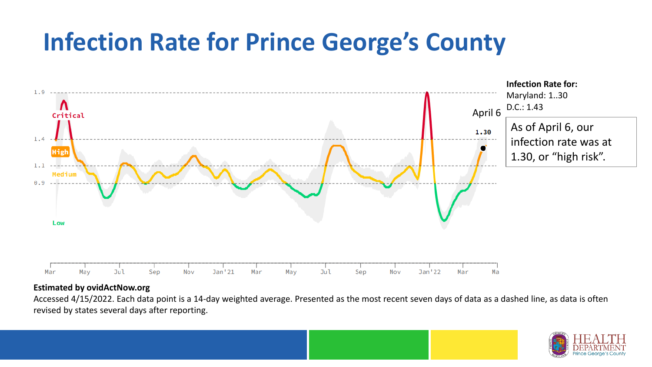### **Infection Rate for Prince George's County**



#### **Estimated by ovidActNow.org**

Accessed 4/15/2022. Each data point is a 14-day weighted average. Presented as the most recent seven days of data as a dashed line, as data is often revised by states several days after reporting.

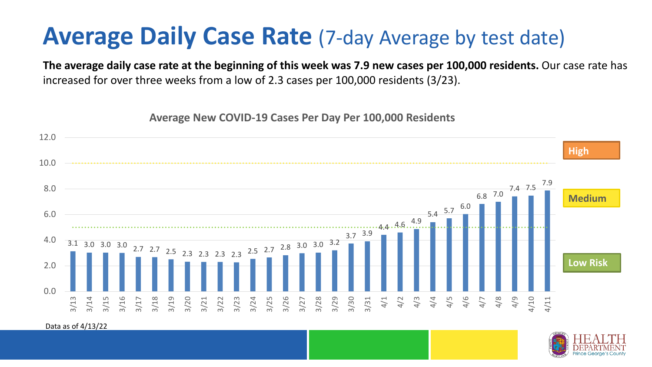### **Average Daily Case Rate** (7-day Average by test date)

**The average daily case rate at the beginning of this week was 7.9 new cases per 100,000 residents.** Our case rate has increased for over three weeks from a low of 2.3 cases per 100,000 residents (3/23).

**Average New COVID-19 Cases Per Day Per 100,000 Residents**



Data as of 4/13/22